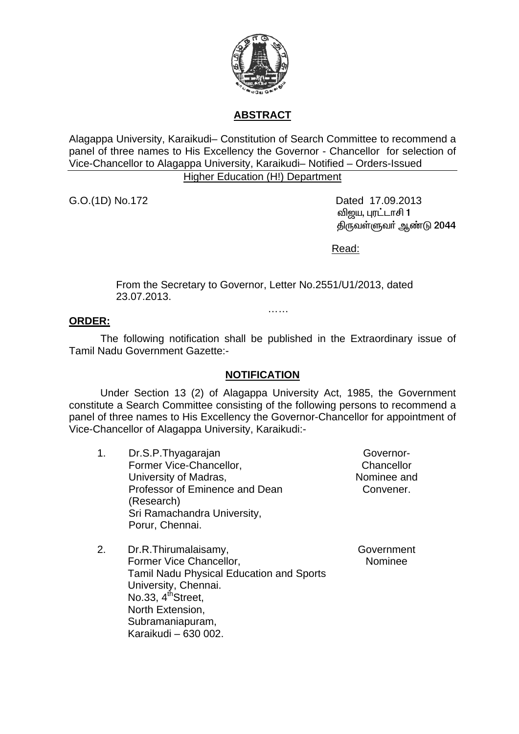

# **ABSTRACT**

Alagappa University, Karaikudi– Constitution of Search Committee to recommend a panel of three names to His Excellency the Governor - Chancellor for selection of Vice-Chancellor to Alagappa University, Karaikudi– Notified – Orders-Issued

## Higher Education (H!) Department

G.O.(1D) No.172 Dated 17.09.2013 வி<u>ற</u>ய, புரட்டாசி 1 திருவள்ளுவர் ஆண்டு 2044

Read:

From the Secretary to Governor, Letter No.2551/U1/2013, dated 23.07.2013.

……

### **ORDER:**

 The following notification shall be published in the Extraordinary issue of Tamil Nadu Government Gazette:-

#### **NOTIFICATION**

Under Section 13 (2) of Alagappa University Act, 1985, the Government constitute a Search Committee consisting of the following persons to recommend a panel of three names to His Excellency the Governor-Chancellor for appointment of Vice-Chancellor of Alagappa University, Karaikudi:-

1. Dr.S.P.Thyagarajan Former Vice-Chancellor, University of Madras, Professor of Eminence and Dean (Research) Sri Ramachandra University, Porur, Chennai.

Governor-Chancellor Nominee and Convener.

Government Nominee

2. Dr.R.Thirumalaisamy, Former Vice Chancellor, Tamil Nadu Physical Education and Sports University, Chennai. No.33,  $4<sup>th</sup>$ Street, North Extension, Subramaniapuram, Karaikudi – 630 002.